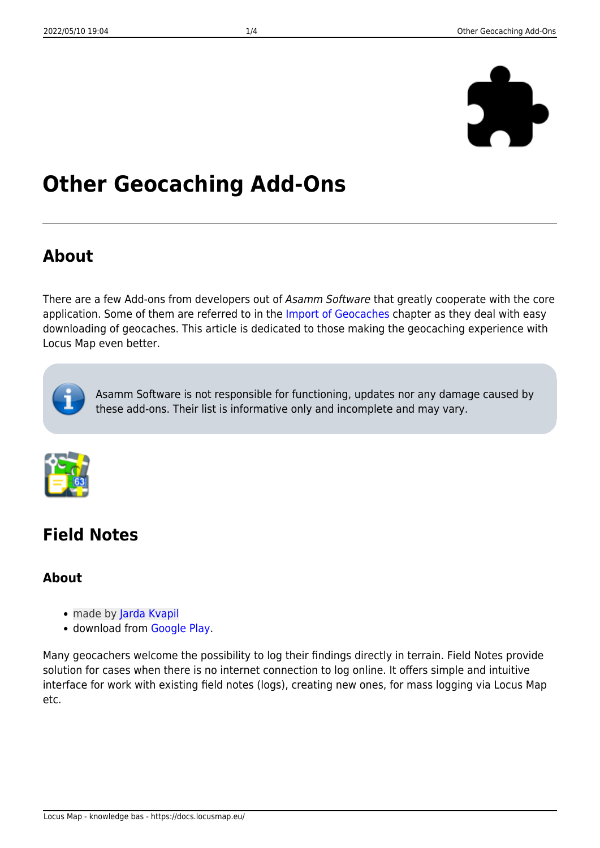

# **Other Geocaching Add-Ons**

### **About**

There are a few Add-ons from developers out of Asamm Software that greatly cooperate with the core application. Some of them are referred to in the [Import of Geocaches](https://docs.locusmap.eu/doku.php?id=manual:user_guide:geocaching:import) chapter as they deal with easy downloading of geocaches. This article is dedicated to those making the geocaching experience with Locus Map even better.



Asamm Software is not responsible for functioning, updates nor any damage caused by these add-ons. Their list is informative only and incomplete and may vary.



# **Field Notes**

### **About**

- made by [Jarda Kvapil](https://play.google.com/store/apps/developer?id=Jarda+Kvapil)
- download from [Google Play.](https://play.google.com/store/apps/details?id=cz.yard.android.locus.addon.fieldnotes)

Many geocachers welcome the possibility to log their findings directly in terrain. Field Notes provide solution for cases when there is no internet connection to log online. It offers simple and intuitive interface for work with existing field notes (logs), creating new ones, for mass logging via Locus Map etc.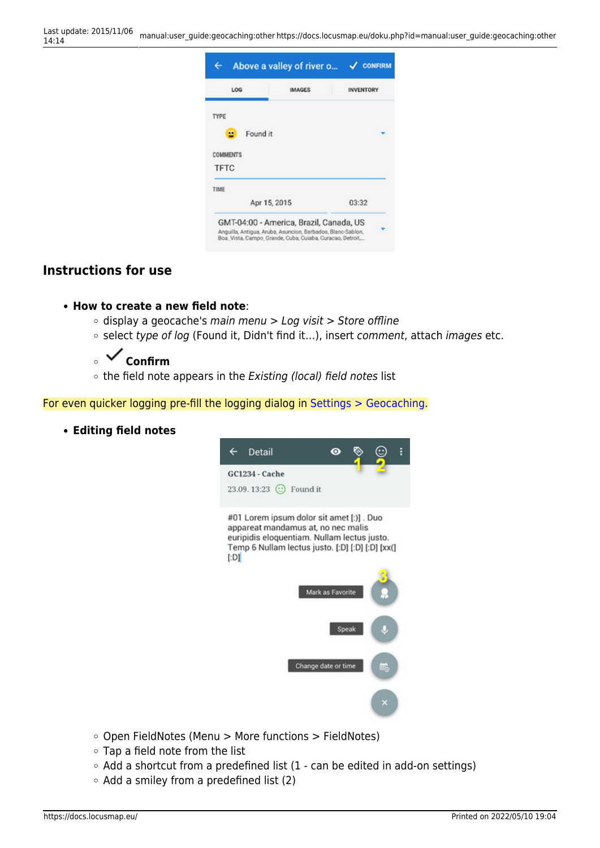| Apr 15, 2015 | 03:32                                               |
|--------------|-----------------------------------------------------|
|              | Found it<br>GMT-04:00 - America, Brazil, Canada, US |

#### **Instructions for use**

#### **How to create a new field note**:

- $\circ$  display a geocache's main menu > Log visit > Store offline
- o select type of log (Found it, Didn't find it...), insert comment, attach images etc.

### ◎ **V** Confirm

 $\circ$  the field note appears in the Existing (local) field notes list

For even quicker logging pre-fill the logging dialog in [Settings > Geocaching.](https://docs.locusmap.eu/doku.php?id=manual:user_guide:geocaching:settings)

**Editing field notes**



- $\circ$  Open FieldNotes (Menu > More functions > FieldNotes)
- Tap a field note from the list
- Add a shortcut from a predefined list (1 can be edited in add-on settings)
- $\circ$  Add a smiley from a predefined list (2)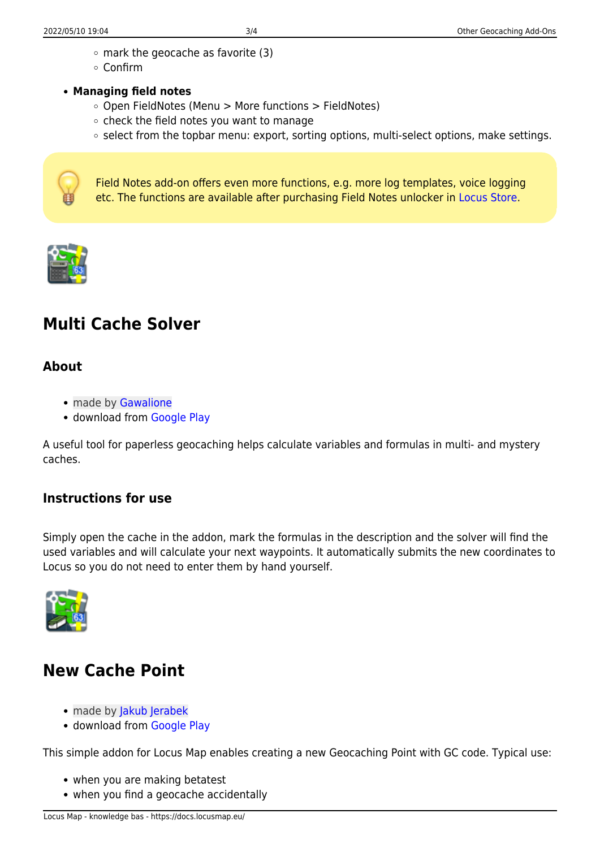- $\circ$  mark the geocache as favorite (3)
- Confirm
- **Managing field notes**
	- $\circ$  Open FieldNotes (Menu > More functions > FieldNotes)
	- $\circ$  check the field notes you want to manage
	- $\circ$  select from the topbar menu: export, sorting options, multi-select options, make settings.



Field Notes add-on offers even more functions, e.g. more log templates, voice logging etc. The functions are available after purchasing Field Notes unlocker in [Locus Store](https://docs.locusmap.eu/doku.php?id=manual:user_guide:locus_store).



## **Multi Cache Solver**

#### **About**

- made by [Gawalione](https://play.google.com/store/apps/developer?id=Gawalione)
- download from [Google Play](https://play.google.com/store/apps/details?id=locus.addon.mcs)

A useful tool for paperless geocaching helps calculate variables and formulas in multi- and mystery caches.

#### **Instructions for use**

Simply open the cache in the addon, mark the formulas in the description and the solver will find the used variables and will calculate your next waypoints. It automatically submits the new coordinates to Locus so you do not need to enter them by hand yourself.



### **New Cache Point**

- made by [Jakub Jerabek](https://play.google.com/store/apps/developer?id=Jakub+Je%C5%99%C3%A1bek)
- download from [Google Play](https://play.google.com/store/apps/details?id=cz.jerabekjakub.locusaddon.newgeocachepoint)

This simple addon for Locus Map enables creating a new Geocaching Point with GC code. Typical use:

- when you are making betatest
- when you find a geocache accidentally